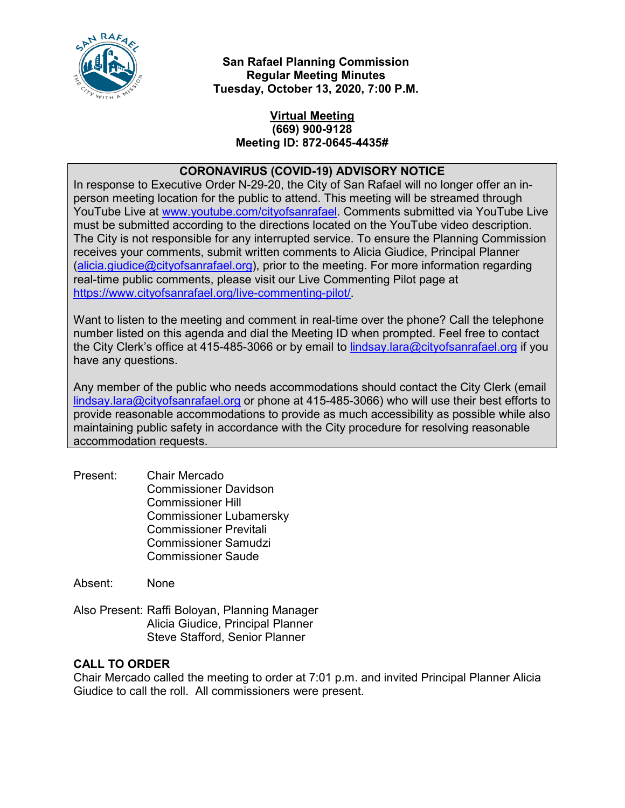

**San Rafael Planning Commission Regular Meeting Minutes Tuesday, October 13, 2020, 7:00 P.M.**

## **Virtual Meeting (669) 900-9128 Meeting ID: 872-0645-4435#**

# **CORONAVIRUS (COVID-19) ADVISORY NOTICE**

In response to Executive Order N-29-20, the City of San Rafael will no longer offer an inperson meeting location for the public to attend. This meeting will be streamed through YouTube Live at [www.youtube.com/cityofsanrafael.](file://fs1.city.local/TDrive/CD%20AGENDA%20ITEMS/2020/09-15-2020/www.youtube.com/cityofsanrafael) Comments submitted via YouTube Live must be submitted according to the directions located on the YouTube video description. The City is not responsible for any interrupted service. To ensure the Planning Commission receives your comments, submit written comments to Alicia Giudice, Principal Planner [\(alicia.giudice@cityofsanrafael.org\)](mailto:alicia.giudice@cityofsanrafael.org), prior to the meeting. For more information regarding real-time public comments, please visit our Live Commenting Pilot page at [https://www.cityofsanrafael.org/live-commenting-pilot/.](https://www.cityofsanrafael.org/live-commenting-pilot/)

Want to listen to the meeting and comment in real-time over the phone? Call the telephone number listed on this agenda and dial the Meeting ID when prompted. Feel free to contact the City Clerk's office at 415-485-3066 or by email to [lindsay.lara@cityofsanrafael.org](file://fs1.city.local/TDrive/CD%20AGENDA%20ITEMS/2020/08-11-2020/lindsay.lara@cityofsanrafael.org) if you have any questions.

Any member of the public who needs accommodations should contact the City Clerk (email [lindsay.lara@cityofsanrafael.org](mailto:lindsay.lara@cityofsanrafael.org) or phone at 415-485-3066) who will use their best efforts to provide reasonable accommodations to provide as much accessibility as possible while also maintaining public safety in accordance with the City procedure for resolving reasonable accommodation requests.

Present: Chair Mercado Commissioner Davidson Commissioner Hill Commissioner Lubamersky Commissioner Previtali Commissioner Samudzi Commissioner Saude

Absent: None

Also Present: Raffi Boloyan, Planning Manager Alicia Giudice, Principal Planner Steve Stafford, Senior Planner

### **CALL TO ORDER**

Chair Mercado called the meeting to order at 7:01 p.m. and invited Principal Planner Alicia Giudice to call the roll. All commissioners were present*.*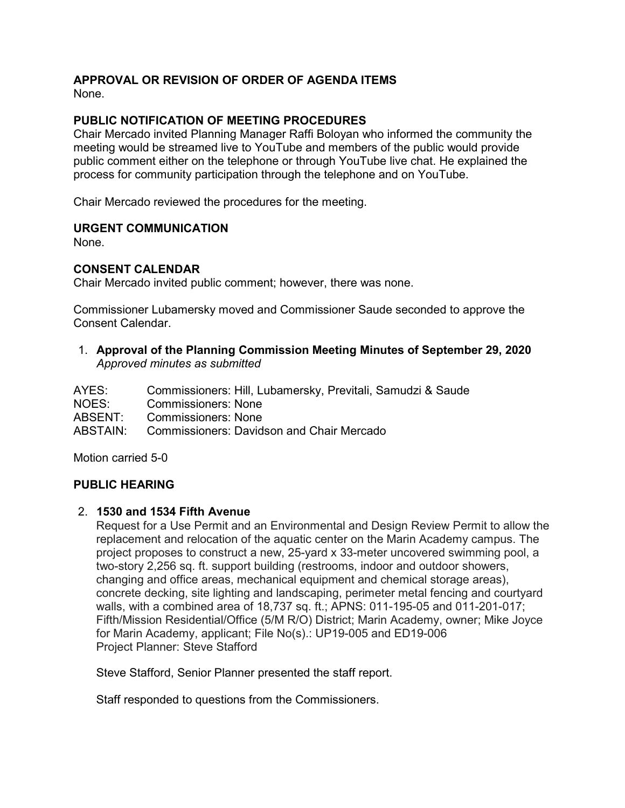# **APPROVAL OR REVISION OF ORDER OF AGENDA ITEMS**

None.

## **PUBLIC NOTIFICATION OF MEETING PROCEDURES**

Chair Mercado invited Planning Manager Raffi Boloyan who informed the community the meeting would be streamed live to YouTube and members of the public would provide public comment either on the telephone or through YouTube live chat. He explained the process for community participation through the telephone and on YouTube.

Chair Mercado reviewed the procedures for the meeting.

### **URGENT COMMUNICATION**

None.

### **CONSENT CALENDAR**

Chair Mercado invited public comment; however, there was none.

Commissioner Lubamersky moved and Commissioner Saude seconded to approve the Consent Calendar.

1. **Approval of the Planning Commission Meeting Minutes of September 29, 2020** *Approved minutes as submitted*

| Commissioners: Hill, Lubamersky, Previtali, Samudzi & Saude |
|-------------------------------------------------------------|
| <b>Commissioners: None</b>                                  |
| <b>Commissioners: None</b>                                  |
| <b>Commissioners: Davidson and Chair Mercado</b>            |
|                                                             |

Motion carried 5-0

### **PUBLIC HEARING**

#### 2. **1530 and 1534 Fifth Avenue**

Request for a Use Permit and an Environmental and Design Review Permit to allow the replacement and relocation of the aquatic center on the Marin Academy campus. The project proposes to construct a new, 25-yard x 33-meter uncovered swimming pool, a two-story 2,256 sq. ft. support building (restrooms, indoor and outdoor showers, changing and office areas, mechanical equipment and chemical storage areas), concrete decking, site lighting and landscaping, perimeter metal fencing and courtyard walls, with a combined area of 18,737 sq. ft.; APNS: 011-195-05 and 011-201-017; Fifth/Mission Residential/Office (5/M R/O) District; Marin Academy, owner; Mike Joyce for Marin Academy, applicant; File No(s).: UP19-005 and ED19-006 Project Planner: Steve Stafford

Steve Stafford, Senior Planner presented the staff report.

Staff responded to questions from the Commissioners.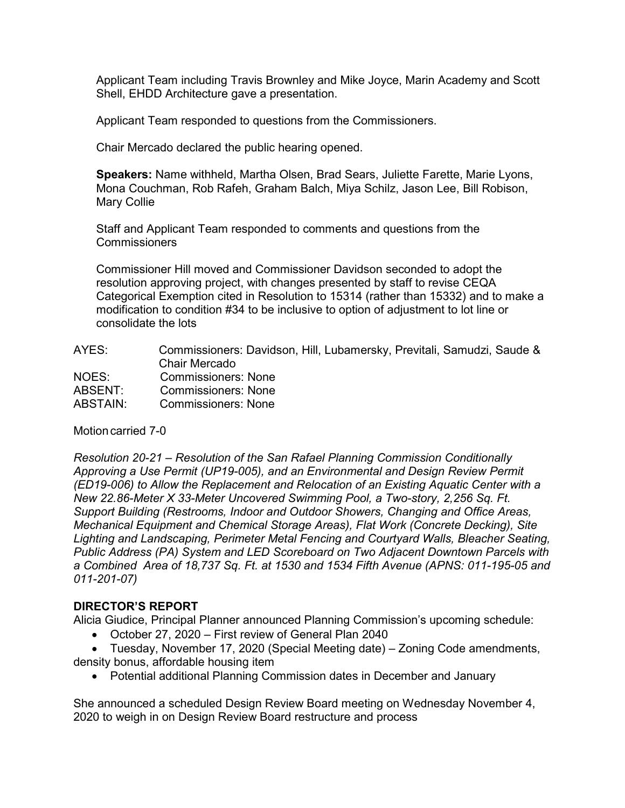Applicant Team including Travis Brownley and Mike Joyce, Marin Academy and Scott Shell, EHDD Architecture gave a presentation.

Applicant Team responded to questions from the Commissioners.

Chair Mercado declared the public hearing opened.

**Speakers:** Name withheld, Martha Olsen, Brad Sears, Juliette Farette, Marie Lyons, Mona Couchman, Rob Rafeh, Graham Balch, Miya Schilz, Jason Lee, Bill Robison, Mary Collie

Staff and Applicant Team responded to comments and questions from the **Commissioners** 

Commissioner Hill moved and Commissioner Davidson seconded to adopt the resolution approving project, with changes presented by staff to revise CEQA Categorical Exemption cited in Resolution to 15314 (rather than 15332) and to make a modification to condition #34 to be inclusive to option of adjustment to lot line or consolidate the lots

| AYES:    | Commissioners: Davidson, Hill, Lubamersky, Previtali, Samudzi, Saude & |
|----------|------------------------------------------------------------------------|
|          | Chair Mercado                                                          |
| NOES:    | <b>Commissioners: None</b>                                             |
| ABSENT:  | <b>Commissioners: None</b>                                             |
| ABSTAIN: | <b>Commissioners: None</b>                                             |

### Motion carried 7-0

*Resolution 20-21 – Resolution of the San Rafael Planning Commission Conditionally Approving a Use Permit (UP19-005), and an Environmental and Design Review Permit (ED19-006) to Allow the Replacement and Relocation of an Existing Aquatic Center with a New 22.86-Meter X 33-Meter Uncovered Swimming Pool, a Two-story, 2,256 Sq. Ft. Support Building (Restrooms, Indoor and Outdoor Showers, Changing and Office Areas, Mechanical Equipment and Chemical Storage Areas), Flat Work (Concrete Decking), Site Lighting and Landscaping, Perimeter Metal Fencing and Courtyard Walls, Bleacher Seating, Public Address (PA) System and LED Scoreboard on Two Adjacent Downtown Parcels with a Combined Area of 18,737 Sq. Ft. at 1530 and 1534 Fifth Avenue (APNS: 011-195-05 and 011-201-07)*

### **DIRECTOR'S REPORT**

Alicia Giudice, Principal Planner announced Planning Commission's upcoming schedule:

• October 27, 2020 – First review of General Plan 2040

• Tuesday, November 17, 2020 (Special Meeting date) – Zoning Code amendments, density bonus, affordable housing item

• Potential additional Planning Commission dates in December and January

She announced a scheduled Design Review Board meeting on Wednesday November 4, 2020 to weigh in on Design Review Board restructure and process